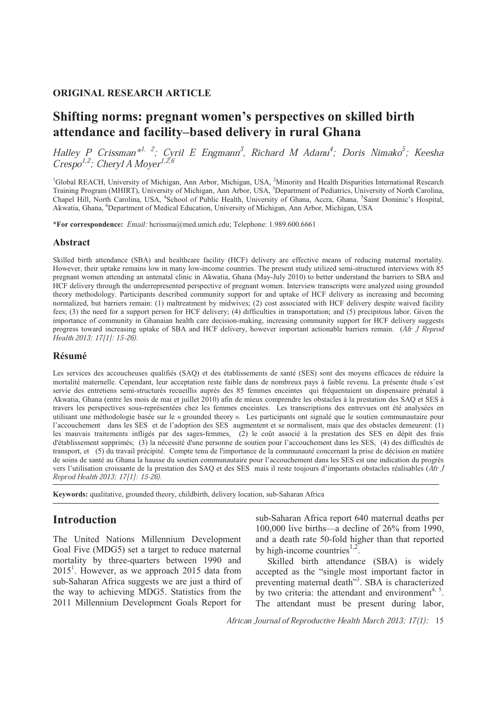### **ORIGINAL RESEARCH ARTICLE**

# **Shifting norms: pregnant women's perspectives on skilled birth attendance and facility–based delivery in rural Ghana**

Halley P Crissman<sup>\*1, 2</sup>; Cyril E Engmann<sup>3</sup>, Richard M Adanu<sup>4</sup>; Doris Nimako<sup>5</sup>; Keesha<br>Crespo<sup>1,2</sup>: Cheryl A Moyer<sup>1,2,6</sup> Crespo<sup>1,2</sup>; Cheryl A Moyer<sup>1,2,6</sup>

<sup>1</sup>Global REACH, University of Michigan, Ann Arbor, Michigan, USA, <sup>2</sup>Minority and Health Disparities International Research Training Program (MHIRT), University of Michigan, Ann Arbor, USA, <sup>3</sup>Department of Pediatrics, University of North Carolina, Chapel Hill, North Carolina, USA, <sup>4</sup>School of Public Health, University of Ghana, Accra, Ghana, <sup>5</sup>Saint Dominic's Hospital, Akwatia, Ghana, <sup>6</sup>Department of Medical Education, University of Michigan, Ann Arbor, Michigan, USA

\***For correspondence:** Email: hcrissma@med.umich.edu; Telephone: 1.989.600.6661

### **Abstract**

Skilled birth attendance (SBA) and healthcare facility (HCF) delivery are effective means of reducing maternal mortality. However, their uptake remains low in many low-income countries. The present study utilized semi-structured interviews with 85 pregnant women attending an antenatal clinic in Akwatia, Ghana (May-July 2010) to better understand the barriers to SBA and HCF delivery through the underrepresented perspective of pregnant women. Interview transcripts were analyzed using grounded theory methodology. Participants described community support for and uptake of HCF delivery as increasing and becoming normalized, but barriers remain: (1) maltreatment by midwives; (2) cost associated with HCF delivery despite waived facility fees; (3) the need for a support person for HCF delivery; (4) difficulties in transportation; and (5) precipitous labor. Given the importance of community in Ghanaian health care decision-making, increasing community support for HCF delivery suggests progress toward increasing uptake of SBA and HCF delivery, however important actionable barriers remain. (Afr J Reprod Health 2013; 17[1]: 15-26).

### **Résumé**

Les services des accoucheuses qualifiés (SAQ) et des établissements de santé (SES) sont des moyens efficaces de réduire la mortalité maternelle. Cependant, leur acceptation reste faible dans de nombreux pays à faible revenu. La présente étude s'est servie des entretiens semi-structurés recueillis auprès des 85 femmes enceintes qui fréquentaient un dispensaire prénatal à Akwatia, Ghana (entre les mois de mai et juillet 2010) afin de mieux comprendre les obstacles à la prestation des SAQ et SES à travers les perspectives sous-représentées chez les femmes enceintes. Les transcriptions des entrevues ont été analysées en utilisant une méthodologie basée sur le « grounded theory ». Les participants ont signalé que le soutien communautaire pour l'accouchement dans les SES et de l'adoption des SES augmentent et se normalisent, mais que des obstacles demeurent: (1) les mauvais traitements infligés par des sages-femmes, (2) le coût associé à la prestation des SES en dépit des frais d'établissement supprimés; (3) la nécessité d'une personne de soutien pour l'accouchement dans les SES, (4) des difficultés de transport, et (5) du travail précipité. Compte tenu de l'importance de la communauté concernant la prise de décision en matière de soins de santé au Ghana la hausse du soutien communautaire pour l'accouchement dans les SES est une indication du progrès vers l'utilisation croissante de la prestation des SAQ et des SES mais il reste toujours d'importants obstacles réalisables (Afr J Reprod Health 2013; 17[1]: 15-26).

**Keywords:** qualitative, grounded theory, childbirth, delivery location, sub-Saharan Africa

## **Introduction**

The United Nations Millennium Development Goal Five (MDG5) set a target to reduce maternal mortality by three-quarters between 1990 and 2015<sup>1</sup>. However, as we approach 2015 data from sub-Saharan Africa suggests we are just a third of the way to achieving MDG5. Statistics from the 2011 Millennium Development Goals Report for

sub-Saharan Africa report 640 maternal deaths per 100,000 live births—a decline of 26% from 1990, and a death rate 50-fold higher than that reported by high-income countries<sup>1,2</sup>.

Skilled birth attendance (SBA) is widely accepted as the "single most important factor in preventing maternal death"<sup>3</sup>. SBA is characterized by two criteria: the attendant and environment<sup>4, 5</sup>. The attendant must be present during labor,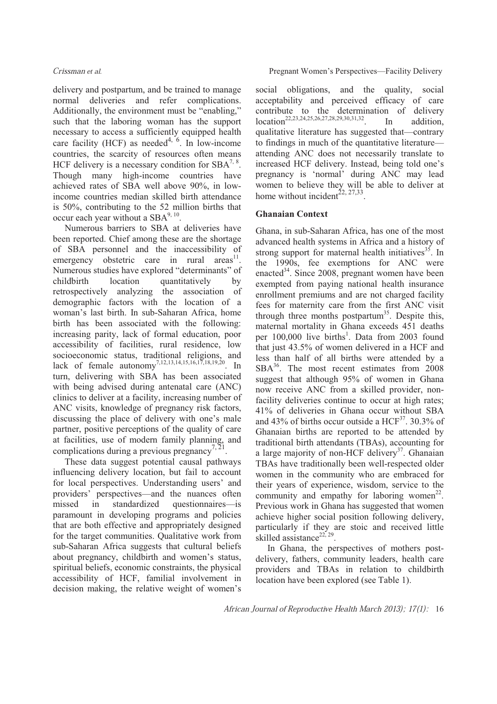delivery and postpartum, and be trained to manage normal deliveries and refer complications. Additionally, the environment must be "enabling," such that the laboring woman has the support necessary to access a sufficiently equipped health care facility (HCF) as needed<sup>4,  $6\overline{)}$ </sup>. In low-income countries, the scarcity of resources often means HCF delivery is a necessary condition for  $SBA^{7, 8}$ . Though many high-income countries have achieved rates of SBA well above 90%, in lowincome countries median skilled birth attendance is 50%, contributing to the 52 million births that occur each year without a  $SBA^{9, 10}$ .

Numerous barriers to SBA at deliveries have been reported. Chief among these are the shortage of SBA personnel and the inaccessibility of emergency obstetric care in rural areas<sup>11</sup>. Numerous studies have explored "determinants" of childbirth location quantitatively by retrospectively analyzing the association of demographic factors with the location of a woman's last birth. In sub-Saharan Africa, home birth has been associated with the following: increasing parity, lack of formal education, poor accessibility of facilities, rural residence, low socioeconomic status, traditional religions, and lack of female autonomy<sup>7,12,13,14,15,16,17,18,19,20</sup>. In turn, delivering with SBA has been associated with being advised during antenatal care (ANC) clinics to deliver at a facility, increasing number of ANC visits, knowledge of pregnancy risk factors, discussing the place of delivery with one's male partner, positive perceptions of the quality of care at facilities, use of modern family planning, and complications during a previous pregnancy<sup>7, 21</sup> .

These data suggest potential causal pathways influencing delivery location, but fail to account for local perspectives. Understanding users' and providers' perspectives—and the nuances often missed in standardized questionnaires—is paramount in developing programs and policies that are both effective and appropriately designed for the target communities. Qualitative work from sub-Saharan Africa suggests that cultural beliefs about pregnancy, childbirth and women's status, spiritual beliefs, economic constraints, the physical accessibility of HCF, familial involvement in decision making, the relative weight of women's social obligations, and the quality, social acceptability and perceived efficacy of care contribute to the determination of delivery location<sup>22,23,24,25,26,27,28,29,30,31,32</sup>. In addition, qualitative literature has suggested that—contrary to findings in much of the quantitative literature attending ANC does not necessarily translate to increased HCF delivery. Instead, being told one's pregnancy is 'normal' during ANC may lead women to believe they will be able to deliver at home without incident<sup>22, 27,33</sup>.

## **Ghanaian Context**

Ghana, in sub-Saharan Africa, has one of the most advanced health systems in Africa and a history of strong support for maternal health initiatives<sup>35</sup>. In the 1990s, fee exemptions for ANC were enacted $34$ . Since 2008, pregnant women have been exempted from paying national health insurance enrollment premiums and are not charged facility fees for maternity care from the first ANC visit through three months postpartum<sup>35</sup>. Despite this, maternal mortality in Ghana exceeds 451 deaths per 100,000 live births<sup>1</sup>. Data from 2003 found that just 43.5% of women delivered in a HCF and less than half of all births were attended by a SBA<sup>36</sup>. The most recent estimates from 2008 suggest that although 95% of women in Ghana now receive ANC from a skilled provider, nonfacility deliveries continue to occur at high rates; 41% of deliveries in Ghana occur without SBA and 43% of births occur outside a  $HCF^{37}$ . 30.3% of Ghanaian births are reported to be attended by traditional birth attendants (TBAs), accounting for a large majority of non-HCF delivery<sup>37</sup>. Ghanaian TBAs have traditionally been well-respected older women in the community who are embraced for their years of experience, wisdom, service to the community and empathy for laboring women<sup>22</sup>. Previous work in Ghana has suggested that women achieve higher social position following delivery, particularly if they are stoic and received little skilled assistance<sup>22, 29</sup>.

In Ghana, the perspectives of mothers postdelivery, fathers, community leaders, health care providers and TBAs in relation to childbirth location have been explored (see Table 1).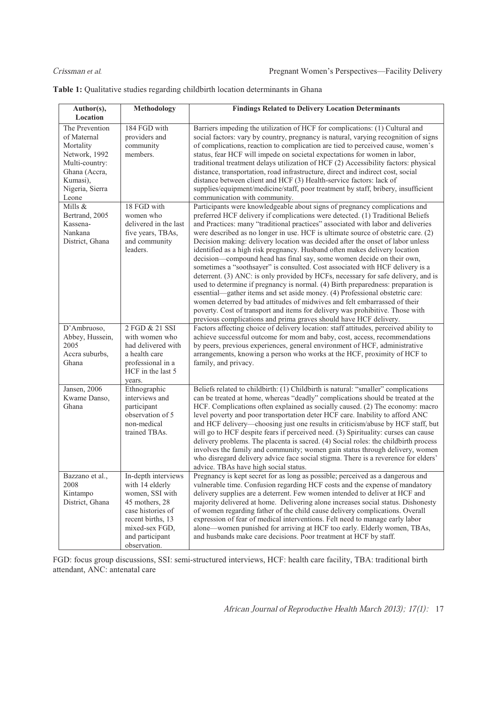**Table 1:** Qualitative studies regarding childbirth location determinants in Ghana

| Author(s),                                                                                                                             | <b>Methodology</b>                                                                                                                                                         | <b>Findings Related to Delivery Location Determinants</b>                                                                                                                                                                                                                                                                                                                                                                                                                                                                                                                                                                                                                                                                                                                                                                                                                                                                                                                                                                                                                                                                                                   |
|----------------------------------------------------------------------------------------------------------------------------------------|----------------------------------------------------------------------------------------------------------------------------------------------------------------------------|-------------------------------------------------------------------------------------------------------------------------------------------------------------------------------------------------------------------------------------------------------------------------------------------------------------------------------------------------------------------------------------------------------------------------------------------------------------------------------------------------------------------------------------------------------------------------------------------------------------------------------------------------------------------------------------------------------------------------------------------------------------------------------------------------------------------------------------------------------------------------------------------------------------------------------------------------------------------------------------------------------------------------------------------------------------------------------------------------------------------------------------------------------------|
| Location                                                                                                                               |                                                                                                                                                                            |                                                                                                                                                                                                                                                                                                                                                                                                                                                                                                                                                                                                                                                                                                                                                                                                                                                                                                                                                                                                                                                                                                                                                             |
| The Prevention<br>of Maternal<br>Mortality<br>Network, 1992<br>Multi-country:<br>Ghana (Accra,<br>Kumasi),<br>Nigeria, Sierra<br>Leone | 184 FGD with<br>providers and<br>community<br>members.                                                                                                                     | Barriers impeding the utilization of HCF for complications: (1) Cultural and<br>social factors: vary by country, pregnancy is natural, varying recognition of signs<br>of complications, reaction to complication are tied to perceived cause, women's<br>status, fear HCF will impede on societal expectations for women in labor,<br>traditional treatment delays utilization of HCF (2) Accessibility factors: physical<br>distance, transportation, road infrastructure, direct and indirect cost, social<br>distance between client and HCF (3) Health-service factors: lack of<br>supplies/equipment/medicine/staff, poor treatment by staff, bribery, insufficient<br>communication with community.                                                                                                                                                                                                                                                                                                                                                                                                                                                  |
| Mills $&$<br>Bertrand, 2005<br>Kassena-<br>Nankana<br>District, Ghana                                                                  | 18 FGD with<br>women who<br>delivered in the last<br>five years, TBAs,<br>and community<br>leaders.                                                                        | Participants were knowledgeable about signs of pregnancy complications and<br>preferred HCF delivery if complications were detected. (1) Traditional Beliefs<br>and Practices: many "traditional practices" associated with labor and deliveries<br>were described as no longer in use. HCF is ultimate source of obstetric care. (2)<br>Decision making: delivery location was decided after the onset of labor unless<br>identified as a high risk pregnancy. Husband often makes delivery location<br>decision—compound head has final say, some women decide on their own,<br>sometimes a "soothsayer" is consulted. Cost associated with HCF delivery is a<br>deterrent. (3) ANC: is only provided by HCFs, necessary for safe delivery, and is<br>used to determine if pregnancy is normal. (4) Birth preparedness: preparation is<br>essential—gather items and set aside money. (4) Professional obstetric care:<br>women deterred by bad attitudes of midwives and felt embarrassed of their<br>poverty. Cost of transport and items for delivery was prohibitive. Those with<br>previous complications and prima graves should have HCF delivery. |
| D'Ambruoso,<br>Abbey, Hussein,<br>2005<br>Accra suburbs,<br>Ghana                                                                      | 2 FGD & 21 SSI<br>with women who<br>had delivered with<br>a health care<br>professional in a<br>HCF in the last 5<br>years.                                                | Factors affecting choice of delivery location: staff attitudes, perceived ability to<br>achieve successful outcome for mom and baby, cost, access, recommendations<br>by peers, previous experiences, general environment of HCF, administrative<br>arrangements, knowing a person who works at the HCF, proximity of HCF to<br>family, and privacy.                                                                                                                                                                                                                                                                                                                                                                                                                                                                                                                                                                                                                                                                                                                                                                                                        |
| Jansen, 2006<br>Kwame Danso,<br>Ghana                                                                                                  | Ethnographic<br>interviews and<br>participant<br>observation of 5<br>non-medical<br>trained TBAs.                                                                          | Beliefs related to childbirth: (1) Childbirth is natural: "smaller" complications<br>can be treated at home, whereas "deadly" complications should be treated at the<br>HCF. Complications often explained as socially caused. (2) The economy: macro<br>level poverty and poor transportation deter HCF care. Inability to afford ANC<br>and HCF delivery-choosing just one results in criticism/abuse by HCF staff, but<br>will go to HCF despite fears if perceived need. (3) Spirituality: curses can cause<br>delivery problems. The placenta is sacred. (4) Social roles: the childbirth process<br>involves the family and community; women gain status through delivery, women<br>who disregard delivery advice face social stigma. There is a reverence for elders'<br>advice. TBAs have high social status.                                                                                                                                                                                                                                                                                                                                       |
| Bazzano et al.,<br>2008<br>Kintampo<br>District, Ghana                                                                                 | In-depth interviews<br>with 14 elderly<br>women, SSI with<br>45 mothers, 28<br>case histories of<br>recent births, 13<br>mixed-sex FGD,<br>and participant<br>observation. | Pregnancy is kept secret for as long as possible; perceived as a dangerous and<br>vulnerable time. Confusion regarding HCF costs and the expense of mandatory<br>delivery supplies are a deterrent. Few women intended to deliver at HCF and<br>majority delivered at home. Delivering alone increases social status. Dishonesty<br>of women regarding father of the child cause delivery complications. Overall<br>expression of fear of medical interventions. Felt need to manage early labor<br>alone—women punished for arriving at HCF too early. Elderly women, TBAs,<br>and husbands make care decisions. Poor treatment at HCF by staff.                                                                                                                                                                                                                                                                                                                                                                                                                                                                                                           |

FGD: focus group discussions, SSI: semi-structured interviews, HCF: health care facility, TBA: traditional birth attendant, ANC: antenatal care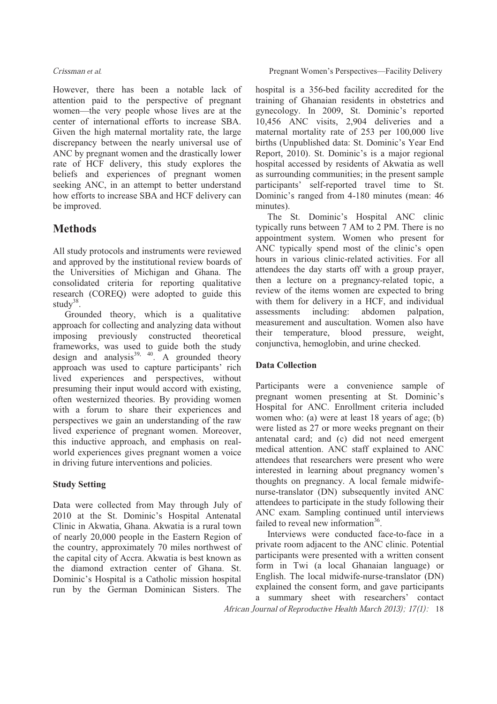However, there has been a notable lack of attention paid to the perspective of pregnant women—the very people whose lives are at the center of international efforts to increase SBA. Given the high maternal mortality rate, the large discrepancy between the nearly universal use of ANC by pregnant women and the drastically lower rate of HCF delivery, this study explores the beliefs and experiences of pregnant women seeking ANC, in an attempt to better understand how efforts to increase SBA and HCF delivery can be improved.

# **Methods**

All study protocols and instruments were reviewed and approved by the institutional review boards of the Universities of Michigan and Ghana. The consolidated criteria for reporting qualitative research (COREQ) were adopted to guide this study $38$ .

Grounded theory, which is a qualitative approach for collecting and analyzing data without imposing previously constructed theoretical frameworks, was used to guide both the study design and analysis $3^{9}$ ,  $40$ . A grounded theory approach was used to capture participants' rich lived experiences and perspectives, without presuming their input would accord with existing, often westernized theories. By providing women with a forum to share their experiences and perspectives we gain an understanding of the raw lived experience of pregnant women. Moreover, this inductive approach, and emphasis on realworld experiences gives pregnant women a voice in driving future interventions and policies.

## **Study Setting**

Data were collected from May through July of 2010 at the St. Dominic's Hospital Antenatal Clinic in Akwatia, Ghana. Akwatia is a rural town of nearly 20,000 people in the Eastern Region of the country, approximately 70 miles northwest of the capital city of Accra. Akwatia is best known as the diamond extraction center of Ghana. St. Dominic's Hospital is a Catholic mission hospital run by the German Dominican Sisters. The

hospital is a 356-bed facility accredited for the training of Ghanaian residents in obstetrics and gynecology. In 2009, St. Dominic's reported 10,456 ANC visits, 2,904 deliveries and a maternal mortality rate of 253 per 100,000 live births (Unpublished data: St. Dominic's Year End Report, 2010). St. Dominic's is a major regional hospital accessed by residents of Akwatia as well as surrounding communities; in the present sample participants' self-reported travel time to St. Dominic's ranged from 4-180 minutes (mean: 46 minutes).

The St. Dominic's Hospital ANC clinic typically runs between 7 AM to 2 PM. There is no appointment system. Women who present for ANC typically spend most of the clinic's open hours in various clinic-related activities. For all attendees the day starts off with a group prayer, then a lecture on a pregnancy-related topic, a review of the items women are expected to bring with them for delivery in a HCF, and individual assessments including: abdomen palpation, measurement and auscultation. Women also have their temperature, blood pressure, weight, conjunctiva, hemoglobin, and urine checked.

# **Data Collection**

Participants were a convenience sample of pregnant women presenting at St. Dominic's Hospital for ANC. Enrollment criteria included women who: (a) were at least 18 years of age; (b) were listed as 27 or more weeks pregnant on their antenatal card; and (c) did not need emergent medical attention. ANC staff explained to ANC attendees that researchers were present who were interested in learning about pregnancy women's thoughts on pregnancy. A local female midwifenurse-translator (DN) subsequently invited ANC attendees to participate in the study following their ANC exam. Sampling continued until interviews failed to reveal new information<sup>36</sup>.

African Journal of Reproductive Health March 2013); 17(1): <sup>18</sup> Interviews were conducted face-to-face in a private room adjacent to the ANC clinic. Potential participants were presented with a written consent form in Twi (a local Ghanaian language) or English. The local midwife-nurse-translator (DN) explained the consent form, and gave participants a summary sheet with researchers' contact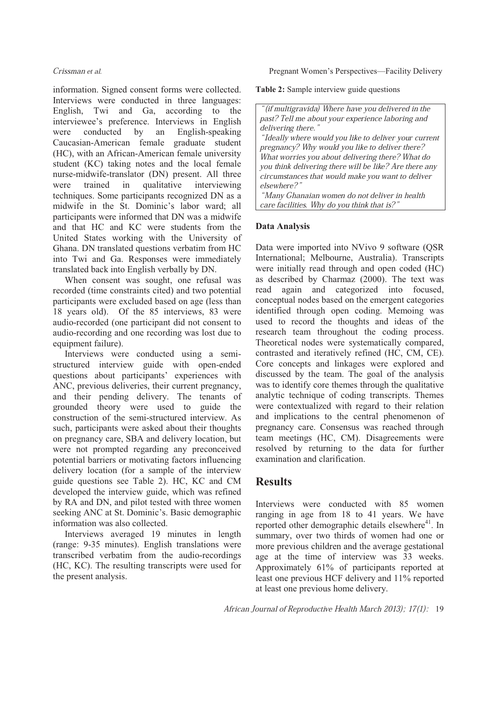information. Signed consent forms were collected. Interviews were conducted in three languages: English, Twi and Ga, according to the interviewee's preference. Interviews in English were conducted by an English-speaking Caucasian-American female graduate student (HC), with an African-American female university student (KC) taking notes and the local female nurse-midwife-translator (DN) present. All three were trained in qualitative interviewing techniques. Some participants recognized DN as a midwife in the St. Dominic's labor ward; all participants were informed that DN was a midwife and that HC and KC were students from the United States working with the University of Ghana. DN translated questions verbatim from HC into Twi and Ga. Responses were immediately translated back into English verbally by DN.

When consent was sought, one refusal was recorded (time constraints cited) and two potential participants were excluded based on age (less than 18 years old). Of the 85 interviews, 83 were audio-recorded (one participant did not consent to audio-recording and one recording was lost due to equipment failure).

Interviews were conducted using a semistructured interview guide with open-ended questions about participants' experiences with ANC, previous deliveries, their current pregnancy, and their pending delivery. The tenants of grounded theory were used to guide the construction of the semi-structured interview. As such, participants were asked about their thoughts on pregnancy care, SBA and delivery location, but were not prompted regarding any preconceived potential barriers or motivating factors influencing delivery location (for a sample of the interview guide questions see Table 2). HC, KC and CM developed the interview guide, which was refined by RA and DN, and pilot tested with three women seeking ANC at St. Dominic's. Basic demographic information was also collected.

Interviews averaged 19 minutes in length (range: 9-35 minutes). English translations were transcribed verbatim from the audio-recordings (HC, KC). The resulting transcripts were used for the present analysis.

Crissman et al. Pregnant Women's Perspectives—Facility Delivery

**Table 2:** Sample interview guide questions

ª(if multigravida) Where have you delivered in the past? Tell me about your experience laboring and delivering there." ªIdeally where would you like to deliver your current pregnancy? Why would you like to deliver there? What worries you about delivering there? What do you think delivering there will be like? Are there any circumstances that would make you want to deliver elsewhere?" ªMany Ghanaian women do not deliver in health care facilities. Why do you think that is?"

### **Data Analysis**

Data were imported into NVivo 9 software (QSR International; Melbourne, Australia). Transcripts were initially read through and open coded (HC) as described by Charmaz (2000). The text was read again and categorized into focused, conceptual nodes based on the emergent categories identified through open coding. Memoing was used to record the thoughts and ideas of the research team throughout the coding process. Theoretical nodes were systematically compared, contrasted and iteratively refined (HC, CM, CE). Core concepts and linkages were explored and discussed by the team. The goal of the analysis was to identify core themes through the qualitative analytic technique of coding transcripts. Themes were contextualized with regard to their relation and implications to the central phenomenon of pregnancy care. Consensus was reached through team meetings (HC, CM). Disagreements were resolved by returning to the data for further examination and clarification.

# **Results**

Interviews were conducted with 85 women ranging in age from 18 to 41 years. We have reported other demographic details elsewhere<sup>41</sup>. In summary, over two thirds of women had one or more previous children and the average gestational age at the time of interview was 33 weeks. Approximately 61% of participants reported at least one previous HCF delivery and 11% reported at least one previous home delivery.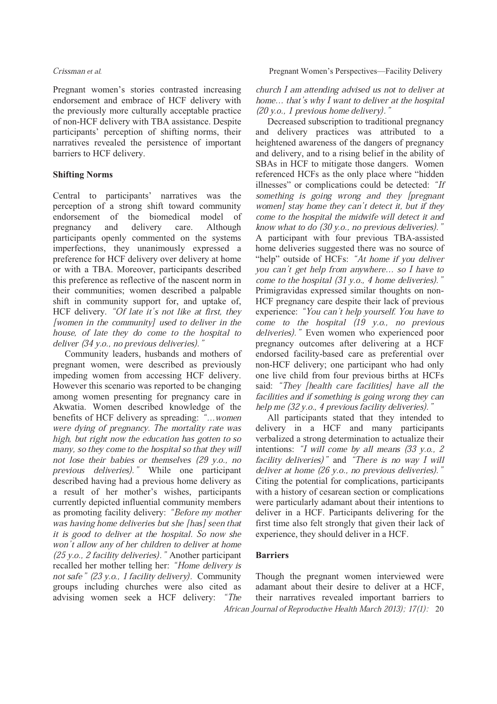Pregnant women's stories contrasted increasing endorsement and embrace of HCF delivery with the previously more culturally acceptable practice of non-HCF delivery with TBA assistance. Despite participants' perception of shifting norms, their narratives revealed the persistence of important barriers to HCF delivery.

### **Shifting Norms**

Central to participants' narratives was the perception of a strong shift toward community endorsement of the biomedical model of pregnancy and delivery care. Although participants openly commented on the systems imperfections, they unanimously expressed a preference for HCF delivery over delivery at home or with a TBA. Moreover, participants described this preference as reflective of the nascent norm in their communities; women described a palpable shift in community support for, and uptake of, HCF delivery. ªOf late it's not like at first, they [women in the community] used to deliver in the house, of late they do come to the hospital to deliver (34 y.o., no previous deliveries)."

Community leaders, husbands and mothers of pregnant women, were described as previously impeding women from accessing HCF delivery. However this scenario was reported to be changing among women presenting for pregnancy care in Akwatia. Women described knowledge of the benefits of HCF delivery as spreading: "...women were dying of pregnancy. The mortality rate was high, but right now the education has gotten to so many, so they come to the hospital so that they will not lose their babies or themselves (29 y.o., no previous deliveries)." While one participant described having had a previous home delivery as a result of her mother's wishes, participants currently depicted influential community members as promoting facility delivery: "Before my mother was having home deliveries but she [has] seen that it is good to deliver at the hospital. So now she won't allow any of her children to deliver at home  $(25 y.o., 2 facility delivers).$ " Another participant recalled her mother telling her: "Home delivery is not safe" (23 y.o., 1 facility delivery). Community groups including churches were also cited as advising women seek a HCF delivery: "The

church I am attending advised us not to deliver at home $\ldots$  that's why I want to deliver at the hospital  $(20 y.o., 1 previous home delivery).$ "

Decreased subscription to traditional pregnancy and delivery practices was attributed to a heightened awareness of the dangers of pregnancy and delivery, and to a rising belief in the ability of SBAs in HCF to mitigate those dangers. Women referenced HCFs as the only place where "hidden illnesses" or complications could be detected: "If something is going wrong and they [pregnant women] stay home they can't detect it, but if they come to the hospital the midwife will detect it and know what to do  $(30 \text{ y.o.})$ , no previous deliveries). " A participant with four previous TBA-assisted home deliveries suggested there was no source of "help" outside of HCFs: "At home if you deliver you can't get help from anywhere... so  $I$  have to come to the hospital  $(31 \text{ y.o.}, 4 \text{ home deliveries}).$ Primigravidas expressed similar thoughts on non-HCF pregnancy care despite their lack of previous experience: ªYou can't help yourself. You have to come to the hospital (19 y.o., no previous deliveries). " Even women who experienced poor pregnancy outcomes after delivering at a HCF endorsed facility-based care as preferential over non-HCF delivery; one participant who had only one live child from four previous births at HCFs said: "They *[health care facilities]* have all the facilities and if something is going wrong they can help me  $(32 \text{ y.o.}, 4 \text{ previous facility delivers}).$ "

All participants stated that they intended to delivery in a HCF and many participants verbalized a strong determination to actualize their intentions: ªI will come by all means (33 y.o., 2 facility deliveries)" and "There is no way  $I$  will deliver at home  $(26$  y.o., no previous deliveries)." Citing the potential for complications, participants with a history of cesarean section or complications were particularly adamant about their intentions to deliver in a HCF. Participants delivering for the first time also felt strongly that given their lack of experience, they should deliver in a HCF.

### **Barriers**

African Journal of Reproductive Health March 2013); 17(1): <sup>20</sup> Though the pregnant women interviewed were adamant about their desire to deliver at a HCF, their narratives revealed important barriers to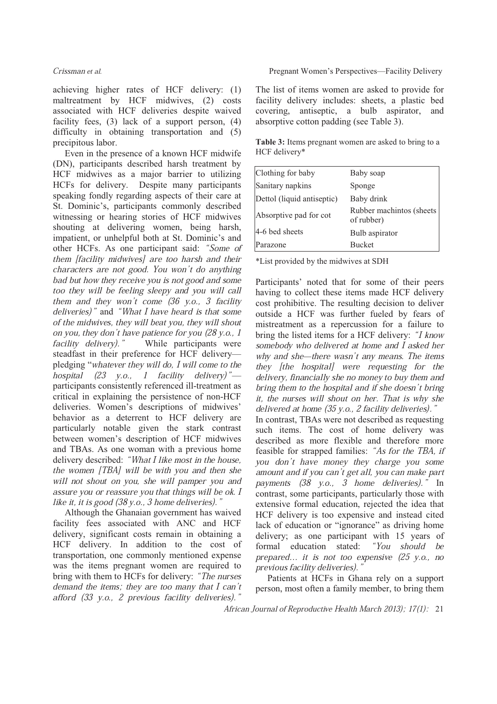achieving higher rates of HCF delivery: (1) maltreatment by HCF midwives, (2) costs associated with HCF deliveries despite waived facility fees, (3) lack of a support person, (4) difficulty in obtaining transportation and (5) precipitous labor.

Even in the presence of a known HCF midwife (DN), participants described harsh treatment by HCF midwives as a major barrier to utilizing HCFs for delivery. Despite many participants speaking fondly regarding aspects of their care at St. Dominic's, participants commonly described witnessing or hearing stories of HCF midwives shouting at delivering women, being harsh, impatient, or unhelpful both at St. Dominic's and other HCFs. As one participant said: "Some of them [facility midwives] are too harsh and their characters are not good. You won't do anything bad but how they receive you is not good and some too they will be feeling sleepy and you will call them and they won't come (36 y.o., 3 facility deliveries)" and "What I have heard is that some of the midwives, they will beat you, they will shout on you, they don't have patience for you (28 y.o., 1 facility delivery)." While participants were facility delivery)." While participants were steadfast in their preference for HCF deliverypledging "whatever they will do, I will come to the hospital  $(23 \, y.o., 1$  facility delivery)"participants consistently referenced ill-treatment as critical in explaining the persistence of non-HCF deliveries. Women's descriptions of midwives' behavior as a deterrent to HCF delivery are particularly notable given the stark contrast between women's description of HCF midwives and TBAs. As one woman with a previous home delivery described: "What I like most in the house, the women [TBA] will be with you and then she will not shout on you, she will pamper you and assure you or reassure you that things will be ok. I like it, it is good  $(38 \text{ y.o.}, 3 \text{ home deliveries}).$ 

Although the Ghanaian government has waived facility fees associated with ANC and HCF delivery, significant costs remain in obtaining a HCF delivery. In addition to the cost of transportation, one commonly mentioned expense was the items pregnant women are required to bring with them to HCFs for delivery: "The nurses demand the items; they are too many that  $I$  can't afford (33 y.o., 2 previous facility deliveries)."

### Crissman et al. Pregnant Women's Perspectives—Facility Delivery

The list of items women are asked to provide for facility delivery includes: sheets, a plastic bed covering, antiseptic, a bulb aspirator, and absorptive cotton padding (see Table 3).

**Table 3:** Items pregnant women are asked to bring to a HCF delivery\*

| Clothing for baby          | Baby soap                               |
|----------------------------|-----------------------------------------|
| Sanitary napkins           | Sponge                                  |
| Dettol (liquid antiseptic) | Baby drink                              |
| Absorptive pad for cot     | Rubber machintos (sheets)<br>of rubber) |
| 4-6 bed sheets             | Bulb aspirator                          |
| Parazone                   | <b>Bucket</b>                           |

\*List provided by the midwives at SDH

Participants' noted that for some of their peers having to collect these items made HCF delivery cost prohibitive. The resulting decision to deliver outside a HCF was further fueled by fears of mistreatment as a repercussion for a failure to bring the listed items for a HCF delivery: "I know somebody who delivered at home and I asked her why and she—there wasn't any means. The items they [the hospital] were requesting for the delivery, financially she no money to buy them and bring them to the hospital and if she doesn't bring it, the nurses will shout on her. That is why she delivered at home  $(35 \text{ y.o.}, 2 \text{ facility delivers}).$ "

In contrast, TBAs were not described as requesting such items. The cost of home delivery was described as more flexible and therefore more feasible for strapped families: ªAs for the TBA, if you don't have money they charge you some amount and if you can't get all, you can make part payments  $(38 \text{ y.o.}, 3 \text{ home}$  deliveries)." In contrast, some participants, particularly those with extensive formal education, rejected the idea that HCF delivery is too expensive and instead cited lack of education or "ignorance" as driving home delivery; as one participant with 15 years of formal education stated: "You should be prepared... it is not too expensive  $(25 \text{ y.o.}, n\sigma)$ previous facility deliveries).

Patients at HCFs in Ghana rely on a support person, most often a family member, to bring them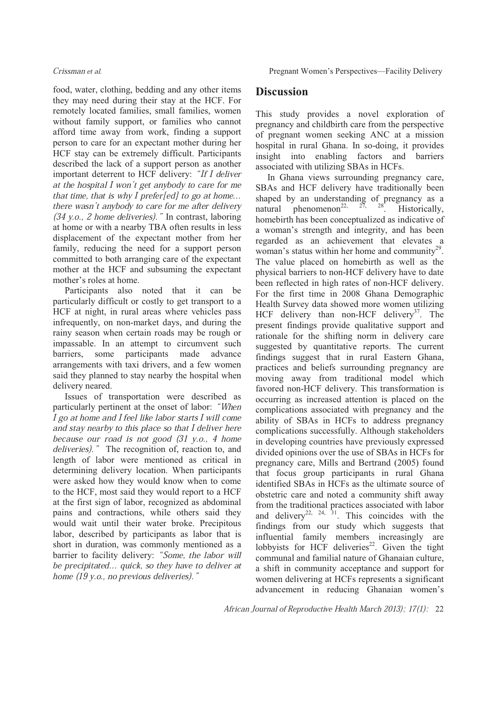food, water, clothing, bedding and any other items they may need during their stay at the HCF. For remotely located families, small families, women without family support, or families who cannot afford time away from work, finding a support person to care for an expectant mother during her HCF stay can be extremely difficult. Participants described the lack of a support person as another important deterrent to HCF delivery: "If I deliver at the hospital I won't get anybody to care for me that time, that is why I prefer[ed] to go at home... shaped<br>there wasn't anybody to care for me after delivery  $_{\text{natural}}$ there wasn't anybody to care for me after delivery  $(34 \text{ y.o.}, 2 \text{ home delivers}).$ " In contrast, laboring at home or with a nearby TBA often results in less displacement of the expectant mother from her family, reducing the need for a support person committed to both arranging care of the expectant mother at the HCF and subsuming the expectant mother's roles at home.

Participants also noted that it can be particularly difficult or costly to get transport to a HCF at night, in rural areas where vehicles pass infrequently, on non-market days, and during the rainy season when certain roads may be rough or impassable. In an attempt to circumvent such barriers, some participants made advance arrangements with taxi drivers, and a few women said they planned to stay nearby the hospital when delivery neared.

Issues of transportation were described as particularly pertinent at the onset of labor: "When I go at home and I feel like labor starts I will come and stay nearby to this place so that I deliver here because our road is not good (31 y.o., 4 home deliveries). "The recognition of, reaction to, and length of labor were mentioned as critical in determining delivery location. When participants were asked how they would know when to come to the HCF, most said they would report to a HCF at the first sign of labor, recognized as abdominal pains and contractions, while others said they would wait until their water broke. Precipitous labor, described by participants as labor that is short in duration, was commonly mentioned as a barrier to facility delivery: "Some, the labor will be precipitated... quick, so they have to deliver at home (19 y.o., no previous deliveries)."

Crissman et al. Pregnant Women's Perspectives—Facility Delivery

## **Discussion**

This study provides a novel exploration of pregnancy and childbirth care from the perspective of pregnant women seeking ANC at a mission hospital in rural Ghana. In so-doing, it provides insight into enabling factors and barriers associated with utilizing SBAs in HCFs.

In Ghana views surrounding pregnancy care, SBAs and HCF delivery have traditionally been shaped by an understanding of pregnancy as a phenomenon<sup>22,  $27, \frac{28}{ }$ . Historically,</sup> homebirth has been conceptualized as indicative of a woman's strength and integrity, and has been regarded as an achievement that elevates a woman's status within her home and community<sup>29</sup>. The value placed on homebirth as well as the physical barriers to non-HCF delivery have to date been reflected in high rates of non-HCF delivery. For the first time in 2008 Ghana Demographic Health Survey data showed more women utilizing HCF delivery than non-HCF delivery<sup>37</sup>. The present findings provide qualitative support and rationale for the shifting norm in delivery care suggested by quantitative reports. The current findings suggest that in rural Eastern Ghana, practices and beliefs surrounding pregnancy are moving away from traditional model which favored non-HCF delivery. This transformation is occurring as increased attention is placed on the complications associated with pregnancy and the ability of SBAs in HCFs to address pregnancy complications successfully. Although stakeholders in developing countries have previously expressed divided opinions over the use of SBAs in HCFs for pregnancy care, Mills and Bertrand (2005) found that focus group participants in rural Ghana identified SBAs in HCFs as the ultimate source of obstetric care and noted a community shift away from the traditional practices associated with labor and delivery<sup>22, 24, 31</sup>. This coincides with the findings from our study which suggests that influential family members increasingly are lobbyists for HCF deliveries<sup>22</sup>. Given the tight communal and familial nature of Ghanaian culture, a shift in community acceptance and support for women delivering at HCFs represents a significant advancement in reducing Ghanaian women's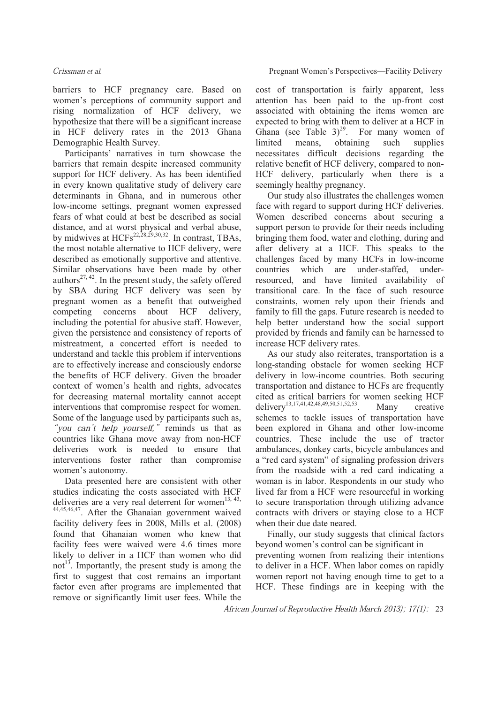barriers to HCF pregnancy care. Based on women's perceptions of community support and rising normalization of HCF delivery, we hypothesize that there will be a significant increase in HCF delivery rates in the 2013 Ghana Demographic Health Survey.

Participants' narratives in turn showcase the barriers that remain despite increased community support for HCF delivery. As has been identified in every known qualitative study of delivery care determinants in Ghana, and in numerous other low-income settings, pregnant women expressed fears of what could at best be described as social distance, and at worst physical and verbal abuse, by midwives at  $HCFs^{22,28,29,30,32}$ . In contrast, TBAs, the most notable alternative to HCF delivery, were described as emotionally supportive and attentive. Similar observations have been made by other authors<sup>27, 42</sup>. In the present study, the safety offered by SBA during HCF delivery was seen by pregnant women as a benefit that outweighed competing concerns about HCF delivery, including the potential for abusive staff. However, given the persistence and consistency of reports of mistreatment, a concerted effort is needed to understand and tackle this problem if interventions are to effectively increase and consciously endorse the benefits of HCF delivery. Given the broader context of women's health and rights, advocates for decreasing maternal mortality cannot accept interventions that compromise respect for women. Some of the language used by participants such as, "you can't help yourself," reminds us that as countries like Ghana move away from non-HCF deliveries work is needed to ensure that interventions foster rather than compromise women's autonomy.

Data presented here are consistent with other studies indicating the costs associated with HCF deliveries are a very real deterrent for women $^{13, 43, 43}$ 44,45,46,47. After the Ghanaian government waived facility delivery fees in 2008, Mills et al. (2008) found that Ghanaian women who knew that facility fees were waived were 4.6 times more likely to deliver in a HCF than women who did not<sup>13</sup>. Importantly, the present study is among the first to suggest that cost remains an important factor even after programs are implemented that remove or significantly limit user fees. While the cost of transportation is fairly apparent, less attention has been paid to the up-front cost associated with obtaining the items women are expected to bring with them to deliver at a HCF in Ghana (see Table  $3)^{29}$ . For many women of limited means, obtaining such supplies necessitates difficult decisions regarding the relative benefit of HCF delivery, compared to non-HCF delivery, particularly when there is a seemingly healthy pregnancy.

Our study also illustrates the challenges women face with regard to support during HCF deliveries. Women described concerns about securing a support person to provide for their needs including bringing them food, water and clothing, during and after delivery at a HCF. This speaks to the challenges faced by many HCFs in low-income countries which are under-staffed, underresourced, and have limited availability of transitional care. In the face of such resource constraints, women rely upon their friends and family to fill the gaps. Future research is needed to help better understand how the social support provided by friends and family can be harnessed to increase HCF delivery rates.

As our study also reiterates, transportation is a long-standing obstacle for women seeking HCF delivery in low-income countries. Both securing transportation and distance to HCFs are frequently cited as critical barriers for women seeking HCF delivery<sup>13,17,41,42,48,49,50,51,52,53</sup>. Many creative schemes to tackle issues of transportation have been explored in Ghana and other low-income countries. These include the use of tractor ambulances, donkey carts, bicycle ambulances and a "red card system" of signaling profession drivers from the roadside with a red card indicating a woman is in labor. Respondents in our study who lived far from a HCF were resourceful in working to secure transportation through utilizing advance contracts with drivers or staying close to a HCF when their due date neared.

Finally, our study suggests that clinical factors beyond women's control can be significant in preventing women from realizing their intentions to deliver in a HCF. When labor comes on rapidly women report not having enough time to get to a HCF. These findings are in keeping with the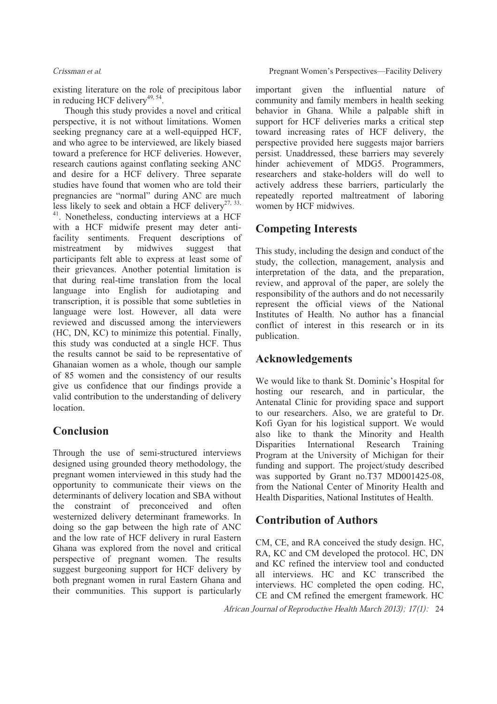existing literature on the role of precipitous labor in reducing HCF delivery<sup>49, 54</sup>.

Though this study provides a novel and critical perspective, it is not without limitations. Women seeking pregnancy care at a well-equipped HCF, and who agree to be interviewed, are likely biased toward a preference for HCF deliveries. However, research cautions against conflating seeking ANC and desire for a HCF delivery. Three separate studies have found that women who are told their pregnancies are "normal" during ANC are much less likely to seek and obtain a HCF delivery<sup>27, 33,</sup> <sup>41</sup>. Nonetheless, conducting interviews at a HCF with a HCF midwife present may deter antifacility sentiments. Frequent descriptions of mistreatment by midwives suggest that participants felt able to express at least some of their grievances. Another potential limitation is that during real-time translation from the local language into English for audiotaping and transcription, it is possible that some subtleties in language were lost. However, all data were reviewed and discussed among the interviewers (HC, DN, KC) to minimize this potential. Finally, this study was conducted at a single HCF. Thus the results cannot be said to be representative of Ghanaian women as a whole, though our sample of 85 women and the consistency of our results give us confidence that our findings provide a valid contribution to the understanding of delivery location.

# **Conclusion**

Through the use of semi-structured interviews designed using grounded theory methodology, the pregnant women interviewed in this study had the opportunity to communicate their views on the determinants of delivery location and SBA without the constraint of preconceived and often westernized delivery determinant frameworks. In doing so the gap between the high rate of ANC and the low rate of HCF delivery in rural Eastern Ghana was explored from the novel and critical perspective of pregnant women. The results suggest burgeoning support for HCF delivery by both pregnant women in rural Eastern Ghana and their communities. This support is particularly

important given the influential nature of community and family members in health seeking behavior in Ghana. While a palpable shift in support for HCF deliveries marks a critical step toward increasing rates of HCF delivery, the perspective provided here suggests major barriers persist. Unaddressed, these barriers may severely hinder achievement of MDG5. Programmers, researchers and stake-holders will do well to actively address these barriers, particularly the repeatedly reported maltreatment of laboring women by HCF midwives.

# **Competing Interests**

This study, including the design and conduct of the study, the collection, management, analysis and interpretation of the data, and the preparation, review, and approval of the paper, are solely the responsibility of the authors and do not necessarily represent the official views of the National Institutes of Health. No author has a financial conflict of interest in this research or in its publication.

# **Acknowledgements**

We would like to thank St. Dominic's Hospital for hosting our research, and in particular, the Antenatal Clinic for providing space and support to our researchers. Also, we are grateful to Dr. Kofi Gyan for his logistical support. We would also like to thank the Minority and Health Disparities International Research Training Program at the University of Michigan for their funding and support. The project/study described was supported by Grant no.T37 MD001425-08. from the National Center of Minority Health and Health Disparities, National Institutes of Health.

# **Contribution of Authors**

CM, CE, and RA conceived the study design. HC, RA, KC and CM developed the protocol. HC, DN and KC refined the interview tool and conducted all interviews. HC and KC transcribed the interviews. HC completed the open coding. HC, CE and CM refined the emergent framework. HC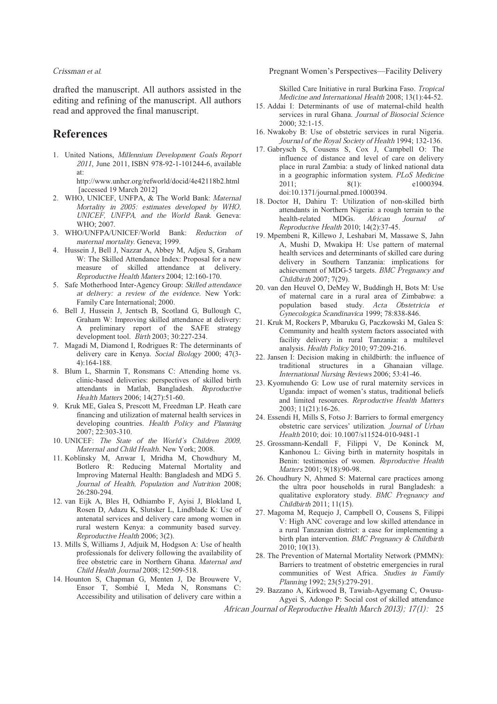drafted the manuscript. All authors assisted in the editing and refining of the manuscript. All authors read and approved the final manuscript.

## **References**

1. United Nations, Millennium Development Goals Report 2011, June 2011, ISBN 978-92-1-101244-6, available at:

http://www.unhcr.org/refworld/docid/4e42118b2.html [accessed 19 March 2012]

- 2. WHO, UNICEF, UNFPA, & The World Bank: Maternal Mortality in 2005: estimates developed by WHO, UNICEF, UNFPA, and the World Bank. Geneva: WHO; 2007.
- 3. WHO/UNFPA/UNICEF/World Bank: Reduction of maternal mortality. Geneva; 1999.
- 4. Hussein J, Bell J, Nazzar A, Abbey M, Adjeu S, Graham W: The Skilled Attendance Index: Proposal for a new measure of skilled attendance at delivery. Reproductive Health Matters 2004; 12:160-170.
- 5. Safe Motherhood Inter-Agency Group: Skilled attendance at delivery: a review of the evidence. New York: Family Care International; 2000.
- 6. Bell J, Hussein J, Jentsch B, Scotland G, Bullough C, Graham W: Improving skilled attendance at delivery: A preliminary report of the SAFE strategy development tool. Birth 2003; 30:227-234.
- 7. Magadi M, Diamond I, Rodrigues R: The determinants of delivery care in Kenya. Social Biology 2000; 47(3- 4):164-188.
- 8. Blum L, Sharmin T, Ronsmans C: Attending home vs. clinic-based deliveries: perspectives of skilled birth attendants in Matlab, Bangladesh. Reproductive Health Matters 2006; 14(27):51-60.
- 9. Kruk ME, Galea S, Prescott M, Freedman LP. Heath care financing and utilization of maternal health services in developing countries. Health Policy and Planning 2007; 22:303-310.
- 10. UNICEF: The State of the World's Children 2009, Maternal and Child Health. New York; 2008.
- 11. Koblinsky M, Anwar I, Mridha M, Chowdhury M, Botlero R: Reducing Maternal Mortality and Improving Maternal Health: Bangladesh and MDG 5. Journal of Health, Population and Nutrition 2008; 26:280-294.
- 12. van Eijk A, Bles H, Odhiambo F, Ayisi J, Blokland I, Rosen D, Adazu K, Slutsker L, Lindblade K: Use of antenatal services and delivery care among women in rural western Kenya: a community based survey. Reproductive Health 2006; 3(2).
- 13. Mills S, Williams J, Adjuik M, Hodgson A: Use of health professionals for delivery following the availability of free obstetric care in Northern Ghana. Maternal and Child Health Journal 2008; 12:509-518.
- 14. Hounton S, Chapman G, Menten J, De Brouwere V, Ensor T, Sombié I, Meda N, Ronsmans C: Accessibility and utilisation of delivery care within a

### Crissman et al. Pregnant Women's Perspectives—Facility Delivery

Skilled Care Initiative in rural Burkina Faso. Tropical Medicine and International Health 2008; 13(1):44-52.

- 15. Addai I: Determinants of use of maternal-child health services in rural Ghana. Journal of Biosocial Science 2000; 32:1-15.
- 16. Nwakoby B: Use of obstetric services in rural Nigeria. Journal of the Royal Society of Health 1994; 132-136.
- 17. Gabrysch S, Cousens S, Cox J, Campbell O: The influence of distance and level of care on delivery place in rural Zambia: a study of linked national data in a geographic information system.  $PLoS$  Medicine<br>2011:  $8(1)$ :  $8(1)$ 2011; 8(1): e1000394. doi:10.1371/journal.pmed.1000394.
- 18. Doctor H, Dahiru T: Utilization of non-skilled birth attendants in Northern Nigeria: a rough terrain to the health-related MDGs. African Journal of Reproductive Health 2010; 14(2):37-45.
- 19. Mpembeni R, Killewo J, Leshabari M, Massawe S, Jahn A, Mushi D, Mwakipa H: Use pattern of maternal health services and determinants of skilled care during delivery in Southern Tanzania: implications for achievement of MDG-5 targets. BMC Pregnancy and Childbirth 2007; 7(29).
- 20. van den Heuvel O, DeMey W, Buddingh H, Bots M: Use of maternal care in a rural area of Zimbabwe: a population based study. Acta Obstetricia et Gynecologica Scandinavica 1999; 78:838-846.
- 21. Kruk M, Rockers P, Mbaruku G, Paczkowski M, Galea S: Community and health system factors associated with facility delivery in rural Tanzania: a multilevel analysis. Health Policy 2010; 97:209-216.
- 22. Jansen I: Decision making in childbirth: the influence of traditional structures in a Ghanaian village. International Nursing Reviews 2006; 53:41-46.
- 23. Kyomuhendo G: Low use of rural maternity services in Uganda: impact of women's status, traditional beliefs and limited resources. Reproductive Health Matters 2003; 11(21):16-26.
- 24. Essendi H, Mills S, Fotso J: Barriers to formal emergency obstetric care services' utilization. Journal of Urban Health 2010; doi: 10.1007/s11524-010-9481-1
- 25. Grossmann-Kendall F, Filippi V, De Koninck M, Kanhonou L: Giving birth in maternity hospitals in Benin: testimonies of women. Reproductive Health Matters 2001; 9(18):90-98.
- 26. Choudhury N, Ahmed S: Maternal care practices among the ultra poor households in rural Bangladesh: a qualitative exploratory study. BMC Pregnancy and Childbirth 2011; 11(15).
- 27. Magoma M, Requejo J, Campbell O, Cousens S, Filippi V: High ANC coverage and low skilled attendance in a rural Tanzanian district: a case for implementing a birth plan intervention. BMC Pregnancy & Childbirth 2010; 10(13).
- 28. The Prevention of Maternal Mortality Network (PMMN): Barriers to treatment of obstetric emergencies in rural communities of West Africa. Studies in Family Planning 1992; 23(5):279-291.
- 29. Bazzano A, Kirkwood B, Tawiah-Agyemang C, Owusu-Agyei S, Adongo P: Social cost of skilled attendance
- African Journal of Reproductive Health March 2013); 17(1): <sup>25</sup>